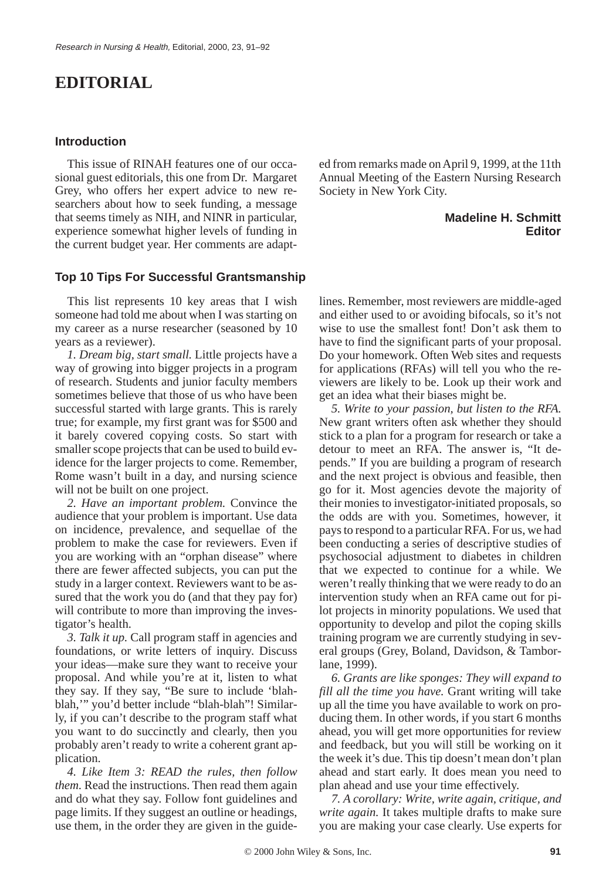# **EDITORIAL**

#### **Introduction**

This issue of RINAH features one of our occasional guest editorials, this one from Dr. Margaret Grey, who offers her expert advice to new researchers about how to seek funding, a message that seems timely as NIH, and NINR in particular, experience somewhat higher levels of funding in the current budget year. Her comments are adapt-

#### **Top 10 Tips For Successful Grantsmanship**

This list represents 10 key areas that I wish someone had told me about when I was starting on my career as a nurse researcher (seasoned by 10 years as a reviewer).

*1. Dream big, start small.* Little projects have a way of growing into bigger projects in a program of research. Students and junior faculty members sometimes believe that those of us who have been successful started with large grants. This is rarely true; for example, my first grant was for \$500 and it barely covered copying costs. So start with smaller scope projects that can be used to build evidence for the larger projects to come. Remember, Rome wasn't built in a day, and nursing science will not be built on one project.

*2. Have an important problem.* Convince the audience that your problem is important. Use data on incidence, prevalence, and sequellae of the problem to make the case for reviewers. Even if you are working with an "orphan disease" where there are fewer affected subjects, you can put the study in a larger context. Reviewers want to be assured that the work you do (and that they pay for) will contribute to more than improving the investigator's health.

*3. Talk it up.* Call program staff in agencies and foundations, or write letters of inquiry. Discuss your ideas—make sure they want to receive your proposal. And while you're at it, listen to what they say. If they say, "Be sure to include 'blahblah,'" you'd better include "blah-blah"! Similarly, if you can't describe to the program staff what you want to do succinctly and clearly, then you probably aren't ready to write a coherent grant application.

*4. Like Item 3: READ the rules, then follow them.* Read the instructions. Then read them again and do what they say. Follow font guidelines and page limits. If they suggest an outline or headings, use them, in the order they are given in the guideed from remarks made on April 9, 1999, at the 11th Annual Meeting of the Eastern Nursing Research Society in New York City.

## **Madeline H. Schmitt Editor**

lines. Remember, most reviewers are middle-aged and either used to or avoiding bifocals, so it's not wise to use the smallest font! Don't ask them to have to find the significant parts of your proposal. Do your homework. Often Web sites and requests for applications (RFAs) will tell you who the reviewers are likely to be. Look up their work and get an idea what their biases might be.

*5. Write to your passion, but listen to the RFA.* New grant writers often ask whether they should stick to a plan for a program for research or take a detour to meet an RFA. The answer is, "It depends." If you are building a program of research and the next project is obvious and feasible, then go for it. Most agencies devote the majority of their monies to investigator-initiated proposals, so the odds are with you. Sometimes, however, it pays to respond to a particular RFA. For us, we had been conducting a series of descriptive studies of psychosocial adjustment to diabetes in children that we expected to continue for a while. We weren't really thinking that we were ready to do an intervention study when an RFA came out for pilot projects in minority populations. We used that opportunity to develop and pilot the coping skills training program we are currently studying in several groups (Grey, Boland, Davidson, & Tamborlane, 1999).

*6. Grants are like sponges: They will expand to fill all the time you have.* Grant writing will take up all the time you have available to work on producing them. In other words, if you start 6 months ahead, you will get more opportunities for review and feedback, but you will still be working on it the week it's due. This tip doesn't mean don't plan ahead and start early. It does mean you need to plan ahead and use your time effectively.

*7. A corollary: Write, write again, critique, and write again.* It takes multiple drafts to make sure you are making your case clearly. Use experts for